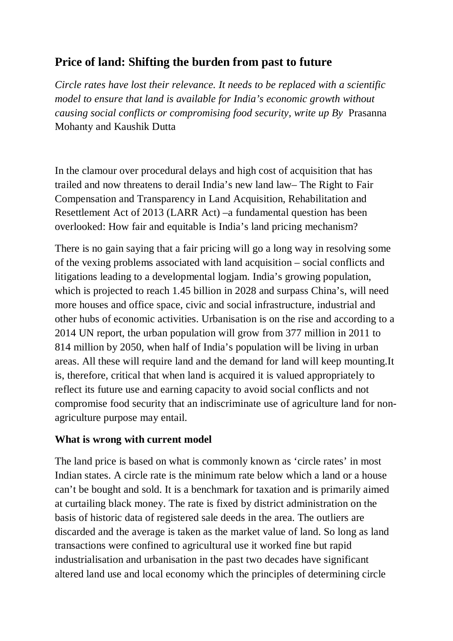# **Price of land: Shifting the burden from past to future**

*Circle rates have lost their relevance. It needs to be replaced with a scientific model to ensure that land is available for India's economic growth without causing social conflicts or compromising food security, write up By* Prasanna Mohanty and Kaushik Dutta

In the clamour over procedural delays and high cost of acquisition that has trailed and now threatens to derail India's new land law– The Right to Fair Compensation and Transparency in Land Acquisition, Rehabilitation and Resettlement Act of 2013 (LARR Act) –a fundamental question has been overlooked: How fair and equitable is India's land pricing mechanism?

There is no gain saying that a fair pricing will go a long way in resolving some of the vexing problems associated with land acquisition – social conflicts and litigations leading to a developmental logjam. India's growing population, which is projected to reach 1.45 billion in 2028 and surpass China's, will need more houses and office space, civic and social infrastructure, industrial and other hubs of economic activities. Urbanisation is on the rise and according to a 2014 UN report, the urban population will grow from 377 million in 2011 to 814 million by 2050, when half of India's population will be living in urban areas. All these will require land and the demand for land will keep mounting.It is, therefore, critical that when land is acquired it is valued appropriately to reflect its future use and earning capacity to avoid social conflicts and not compromise food security that an indiscriminate use of agriculture land for nonagriculture purpose may entail.

#### **What is wrong with current model**

The land price is based on what is commonly known as 'circle rates' in most Indian states. A circle rate is the minimum rate below which a land or a house can't be bought and sold. It is a benchmark for taxation and is primarily aimed at curtailing black money. The rate is fixed by district administration on the basis of historic data of registered sale deeds in the area. The outliers are discarded and the average is taken as the market value of land. So long as land transactions were confined to agricultural use it worked fine but rapid industrialisation and urbanisation in the past two decades have significant altered land use and local economy which the principles of determining circle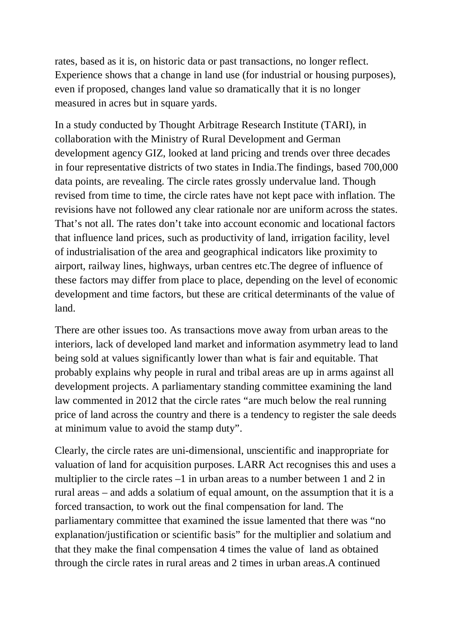rates, based as it is, on historic data or past transactions, no longer reflect. Experience shows that a change in land use (for industrial or housing purposes), even if proposed, changes land value so dramatically that it is no longer measured in acres but in square yards.

In a study conducted by Thought Arbitrage Research Institute (TARI), in collaboration with the Ministry of Rural Development and German development agency GIZ, looked at land pricing and trends over three decades in four representative districts of two states in India.The findings, based 700,000 data points, are revealing. The circle rates grossly undervalue land. Though revised from time to time, the circle rates have not kept pace with inflation. The revisions have not followed any clear rationale nor are uniform across the states. That's not all. The rates don't take into account economic and locational factors that influence land prices, such as productivity of land, irrigation facility, level of industrialisation of the area and geographical indicators like proximity to airport, railway lines, highways, urban centres etc.The degree of influence of these factors may differ from place to place, depending on the level of economic development and time factors, but these are critical determinants of the value of land.

There are other issues too. As transactions move away from urban areas to the interiors, lack of developed land market and information asymmetry lead to land being sold at values significantly lower than what is fair and equitable. That probably explains why people in rural and tribal areas are up in arms against all development projects. A parliamentary standing committee examining the land law commented in 2012 that the circle rates "are much below the real running price of land across the country and there is a tendency to register the sale deeds at minimum value to avoid the stamp duty".

Clearly, the circle rates are uni-dimensional, unscientific and inappropriate for valuation of land for acquisition purposes. LARR Act recognises this and uses a multiplier to the circle rates –1 in urban areas to a number between 1 and 2 in rural areas – and adds a solatium of equal amount, on the assumption that it is a forced transaction, to work out the final compensation for land. The parliamentary committee that examined the issue lamented that there was "no explanation/justification or scientific basis" for the multiplier and solatium and that they make the final compensation 4 times the value of land as obtained through the circle rates in rural areas and 2 times in urban areas.A continued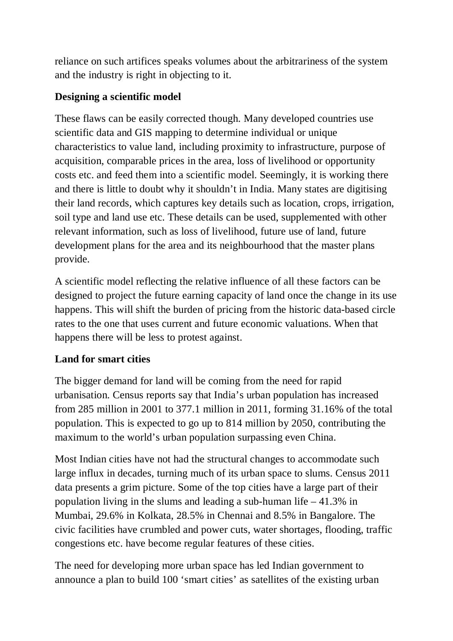reliance on such artifices speaks volumes about the arbitrariness of the system and the industry is right in objecting to it.

### **Designing a scientific model**

These flaws can be easily corrected though. Many developed countries use scientific data and GIS mapping to determine individual or unique characteristics to value land, including proximity to infrastructure, purpose of acquisition, comparable prices in the area, loss of livelihood or opportunity costs etc. and feed them into a scientific model. Seemingly, it is working there and there is little to doubt why it shouldn't in India. Many states are digitising their land records, which captures key details such as location, crops, irrigation, soil type and land use etc. These details can be used, supplemented with other relevant information, such as loss of livelihood, future use of land, future development plans for the area and its neighbourhood that the master plans provide.

A scientific model reflecting the relative influence of all these factors can be designed to project the future earning capacity of land once the change in its use happens. This will shift the burden of pricing from the historic data-based circle rates to the one that uses current and future economic valuations. When that happens there will be less to protest against.

## **Land for smart cities**

The bigger demand for land will be coming from the need for rapid urbanisation. Census reports say that India's urban population has increased from 285 million in 2001 to 377.1 million in 2011, forming 31.16% of the total population. This is expected to go up to 814 million by 2050, contributing the maximum to the world's urban population surpassing even China.

Most Indian cities have not had the structural changes to accommodate such large influx in decades, turning much of its urban space to slums. Census 2011 data presents a grim picture. Some of the top cities have a large part of their population living in the slums and leading a sub-human life  $-41.3\%$  in Mumbai, 29.6% in Kolkata, 28.5% in Chennai and 8.5% in Bangalore. The civic facilities have crumbled and power cuts, water shortages, flooding, traffic congestions etc. have become regular features of these cities.

The need for developing more urban space has led Indian government to announce a plan to build 100 'smart cities' as satellites of the existing urban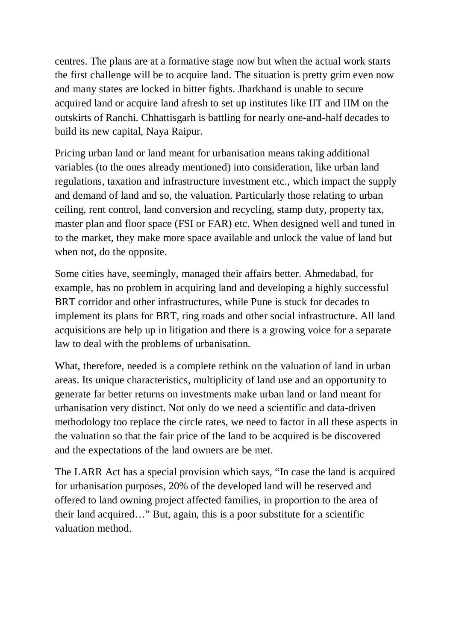centres. The plans are at a formative stage now but when the actual work starts the first challenge will be to acquire land. The situation is pretty grim even now and many states are locked in bitter fights. Jharkhand is unable to secure acquired land or acquire land afresh to set up institutes like IIT and IIM on the outskirts of Ranchi. Chhattisgarh is battling for nearly one-and-half decades to build its new capital, Naya Raipur.

Pricing urban land or land meant for urbanisation means taking additional variables (to the ones already mentioned) into consideration, like urban land regulations, taxation and infrastructure investment etc., which impact the supply and demand of land and so, the valuation. Particularly those relating to urban ceiling, rent control, land conversion and recycling, stamp duty, property tax, master plan and floor space (FSI or FAR) etc. When designed well and tuned in to the market, they make more space available and unlock the value of land but when not, do the opposite.

Some cities have, seemingly, managed their affairs better. Ahmedabad, for example, has no problem in acquiring land and developing a highly successful BRT corridor and other infrastructures, while Pune is stuck for decades to implement its plans for BRT, ring roads and other social infrastructure. All land acquisitions are help up in litigation and there is a growing voice for a separate law to deal with the problems of urbanisation.

What, therefore, needed is a complete rethink on the valuation of land in urban areas. Its unique characteristics, multiplicity of land use and an opportunity to generate far better returns on investments make urban land or land meant for urbanisation very distinct. Not only do we need a scientific and data-driven methodology too replace the circle rates, we need to factor in all these aspects in the valuation so that the fair price of the land to be acquired is be discovered and the expectations of the land owners are be met.

The LARR Act has a special provision which says, "In case the land is acquired for urbanisation purposes, 20% of the developed land will be reserved and offered to land owning project affected families, in proportion to the area of their land acquired…" But, again, this is a poor substitute for a scientific valuation method.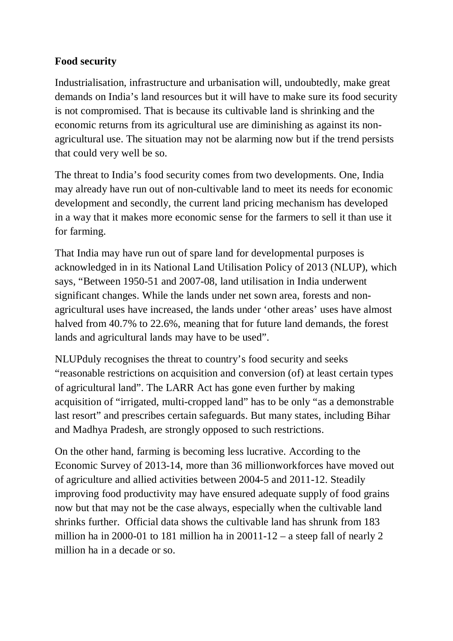#### **Food security**

Industrialisation, infrastructure and urbanisation will, undoubtedly, make great demands on India's land resources but it will have to make sure its food security is not compromised. That is because its cultivable land is shrinking and the economic returns from its agricultural use are diminishing as against its nonagricultural use. The situation may not be alarming now but if the trend persists that could very well be so.

The threat to India's food security comes from two developments. One, India may already have run out of non-cultivable land to meet its needs for economic development and secondly, the current land pricing mechanism has developed in a way that it makes more economic sense for the farmers to sell it than use it for farming.

That India may have run out of spare land for developmental purposes is acknowledged in in its National Land Utilisation Policy of 2013 (NLUP), which says, "Between 1950-51 and 2007-08, land utilisation in India underwent significant changes. While the lands under net sown area, forests and nonagricultural uses have increased, the lands under 'other areas' uses have almost halved from 40.7% to 22.6%, meaning that for future land demands, the forest lands and agricultural lands may have to be used".

NLUPduly recognises the threat to country's food security and seeks "reasonable restrictions on acquisition and conversion (of) at least certain types of agricultural land". The LARR Act has gone even further by making acquisition of "irrigated, multi-cropped land" has to be only "as a demonstrable last resort" and prescribes certain safeguards. But many states, including Bihar and Madhya Pradesh, are strongly opposed to such restrictions.

On the other hand, farming is becoming less lucrative. According to the Economic Survey of 2013-14, more than 36 millionworkforces have moved out of agriculture and allied activities between 2004-5 and 2011-12. Steadily improving food productivity may have ensured adequate supply of food grains now but that may not be the case always, especially when the cultivable land shrinks further. Official data shows the cultivable land has shrunk from 183 million ha in 2000-01 to 181 million ha in  $20011-12$  – a steep fall of nearly 2 million ha in a decade or so.